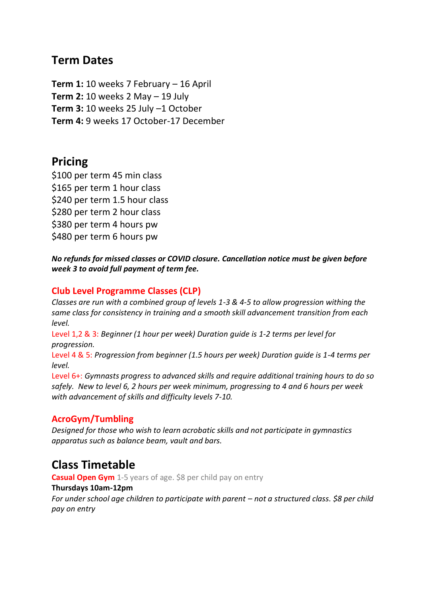# **Term Dates**

**Term 1:** 10 weeks 7 February – 16 April **Term 2:** 10 weeks 2 May – 19 July **Term 3:** 10 weeks 25 July –1 October **Term 4:** 9 weeks 17 October-17 December

# **Pricing**

\$100 per term 45 min class \$165 per term 1 hour class \$240 per term 1.5 hour class \$280 per term 2 hour class \$380 per term 4 hours pw \$480 per term 6 hours pw

*No refunds for missed classes or COVID closure. Cancellation notice must be given before week 3 to avoid full payment of term fee.*

## **Club Level Programme Classes (CLP)**

*Classes are run with a combined group of levels 1-3 & 4-5 to allow progression withing the same class for consistency in training and a smooth skill advancement transition from each level.*

Level 1,2 & 3: *Beginner (1 hour per week) Duration guide is 1-2 terms per level for progression.*

Level 4 & 5: *Progression from beginner (1.5 hours per week) Duration guide is 1-4 terms per level.*

Level 6+: *Gymnasts progress to advanced skills and require additional training hours to do so safely. New to level 6, 2 hours per week minimum, progressing to 4 and 6 hours per week with advancement of skills and difficulty levels 7-10.*

## **AcroGym/Tumbling**

*Designed for those who wish to learn acrobatic skills and not participate in gymnastics apparatus such as balance beam, vault and bars.*

# **Class Timetable**

**Casual Open Gym** 1-5 years of age. \$8 per child pay on entry

### **Thursdays 10am-12pm**

*For under school age children to participate with parent – not a structured class. \$8 per child pay on entry*